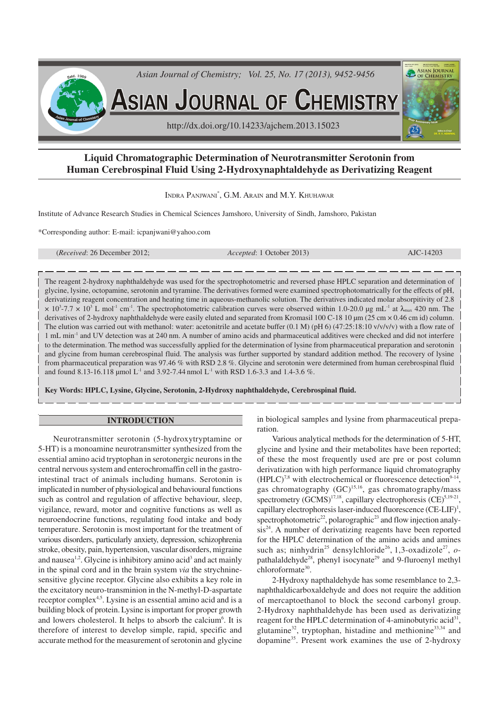

# **Liquid Chromatographic Determination of Neurotransmitter Serotonin from Human Cerebrospinal Fluid Using 2-Hydroxynaphtaldehyde as Derivatizing Reagent**

INDRA PANJWANI\* , G.M. ARAIN and M.Y. KHUHAWAR

Institute of Advance Research Studies in Chemical Sciences Jamshoro, University of Sindh, Jamshoro, Pakistan

\*Corresponding author: E-mail: icpanjwani@yahoo.com

(*Received*: 26 December 2012; *Accepted*: 1 October 2013) AJC-14203

The reagent 2-hydroxy naphthaldehyde was used for the spectrophotometric and reversed phase HPLC separation and determination of glycine, lysine, octopamine, serotonin and tyramine. The derivatives formed were examined spectrophotomatrically for the effects of pH, derivatizing reagent concentration and heating time in aqueous-methanolic solution. The derivatives indicated molar absorpitivity of 2.8  $\times$  10<sup>3</sup>-7.7  $\times$  10<sup>3</sup> L mol<sup>-1</sup> cm<sup>-1</sup>. The spectrophotometric calibration curves were observed within 1.0-20.0 µg mL<sup>-1</sup> at  $\lambda_{\text{max}}$  420 nm. The derivatives of 2-hydroxy naphthaldehyde were easily eluted and separated from Kromasil 100 C-18 10  $\mu$ m (25 cm  $\times$  0.46 cm id) column. The elution was carried out with methanol: water: acetonitrile and acetate buffer  $(0.1 \text{ M})$  (pH 6)  $(47:25:18:10 \text{ v/v/v/v})$  with a flow rate of 1 mL min-1 and UV detection was at 240 nm. A number of amino acids and pharmaceutical additives were checked and did not interfere to the determination. The method was successfully applied for the determination of lysine from pharmaceutical preparation and serotonin and glycine from human cerebrospinal fluid. The analysis was further supported by standard addition method. The recovery of lysine from pharmaceutical preparation was 97.46 % with RSD 2.8 %. Glycine and serotonin were determined from human cerebrospinal fluid and found 8.13-16.118 µmol  $L^{-1}$  and 3.92-7.44 nmol  $L^{-1}$  with RSD 1.6-3.3 and 1.4-3.6 %.

**Key Words: HPLC, Lysine, Glycine, Serotonin, 2-Hydroxy naphthaldehyde, Cerebrospinal fluid.**

### **INTRODUCTION**

Neurotransmitter serotonin (5-hydroxytryptamine or 5-HT) is a monoamine neurotransmitter synthesized from the essential amino acid tryptophan in serotonergic neurons in the central nervous system and enterochromaffin cell in the gastrointestinal tract of animals including humans. Serotonin is implicated in number of physiological and behavioural functions such as control and regulation of affective behaviour, sleep, vigilance, reward, motor and cognitive functions as well as neuroendocrine functions, regulating food intake and body temperature. Serotonin is most important for the treatment of various disorders, particularly anxiety, depression, schizophrenia stroke, obesity, pain, hypertension, vascular disorders, migraine and nausea<sup>1,2</sup>. Glycine is inhibitory amino acid<sup>3</sup> and act mainly in the spinal cord and in the brain system *via* the strychninesensitive glycine receptor. Glycine also exhibits a key role in the excitatory neuro-transminion in the N-methyl-D-aspartate receptor complex<sup>4,5</sup>. Lysine is an essential amino acid and is a building block of protein. Lysine is important for proper growth and lowers cholesterol. It helps to absorb the calcium<sup>6</sup>. It is therefore of interest to develop simple, rapid, specific and accurate method for the measurement of serotonin and glycine in biological samples and lysine from pharmaceutical preparation.

Various analytical methods for the determination of 5-HT, glycine and lysine and their metabolites have been reported; of these the most frequently used are pre or post column derivatization with high performance liquid chromatography  $(HPLC)^{7,8}$  with electrochemical or fluorescence detection<sup>9-14</sup>, gas chromatography (GC)<sup>15,16</sup>, gas chromatography/mass spectrometry  $(GCMS)^{17,18}$ , capillary electrophoresis  $(CE)^{5,19-21}$ , capillary electrophoresis laser-induced fluorescence (CE-LIF)<sup>1</sup>, spectrophotometric<sup>22</sup>, polarographic<sup>23</sup> and flow injection analy $sis<sup>24</sup>$ . A number of derivatizing reagents have been reported for the HPLC determination of the amino acids and amines such as; ninhydrin<sup>25</sup> densylchloride<sup>26</sup>, 1,3-oxadizole<sup>27</sup>, opathalaldehyde<sup>28</sup>, phenyl isocynate<sup>29</sup> and 9-fluroenyl methyl chloroformate<sup>30</sup>.

2-Hydroxy napthaldehyde has some resemblance to 2,3 naphthaldicarboxaldehyde and does not require the addition of mercaptoethanol to block the second carbonyl group. 2-Hydroxy naphthaldehyde has been used as derivatizing reagent for the HPLC determination of 4-aminobutyric acid<sup>31</sup>, glutamine<sup>32</sup>, tryptophan, histadine and methionine<sup>33,34</sup> and dopamine<sup>35</sup>. Present work examines the use of 2-hydroxy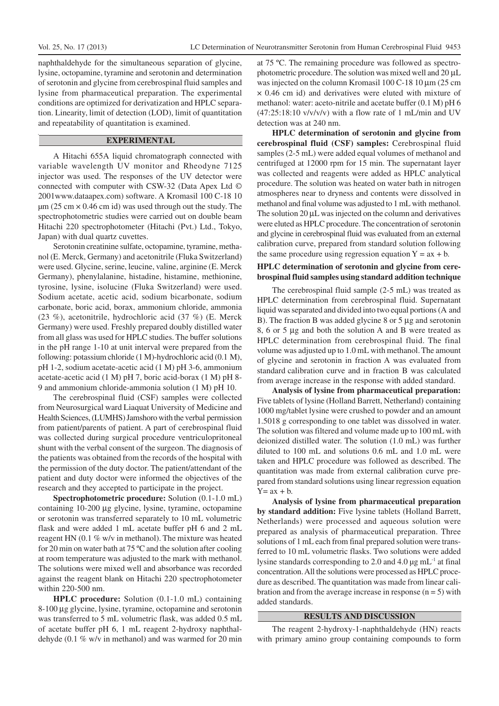naphthaldehyde for the simultaneous separation of glycine, lysine, octopamine, tyramine and serotonin and determination of serotonin and glycine from cerebrospinal fluid samples and lysine from pharmaceutical preparation. The experimental conditions are optimized for derivatization and HPLC separation. Linearity, limit of detection (LOD), limit of quantitation and repeatability of quantitation is examined.

### **EXPERIMENTAL**

A Hitachi 655A liquid chromatograph connected with variable wavelength UV monitor and Rheodyne 7125 injector was used. The responses of the UV detector were connected with computer with CSW-32 (Data Apex Ltd © 2001www.dataapex.com) software. A Kromasil 100 C-18 10  $\mu$ m (25 cm  $\times$  0.46 cm id) was used through out the study. The spectrophotometric studies were carried out on double beam Hitachi 220 spectrophotometer (Hitachi (Pvt.) Ltd., Tokyo, Japan) with dual quartz cuvettes.

Serotonin creatinine sulfate, octopamine, tyramine, methanol (E. Merck, Germany) and acetonitrile (Fluka Switzerland) were used. Glycine, serine, leucine, valine, arginine (E. Merck Germany), phenylalanine, histadine, histamine, methionine, tyrosine, lysine, isolucine (Fluka Switzerland) were used. Sodium acetate, acetic acid, sodium bicarbonate, sodium carbonate, boric acid, borax, ammonium chloride, ammonia (23 %), acetonitrile, hydrochloric acid (37 %) (E. Merck Germany) were used. Freshly prepared doubly distilled water from all glass was used for HPLC studies. The buffer solutions in the pH range 1-10 at unit interval were prepared from the following: potassium chloride (1 M)-hydrochloric acid (0.1 M), pH 1-2, sodium acetate-acetic acid (1 M) pH 3-6, ammonium acetate-acetic acid (1 M) pH 7, boric acid-borax (1 M) pH 8- 9 and ammonium chloride-ammonia solution (1 M) pH 10.

The cerebrospinal fluid (CSF) samples were collected from Neurosurgical ward Liaquat University of Medicine and Health Sciences, (LUMHS) Jamshoro with the verbal permission from patient/parents of patient. A part of cerebrospinal fluid was collected during surgical procedure ventriculopritoneal shunt with the verbal consent of the surgeon. The diagnosis of the patients was obtained from the records of the hospital with the permission of the duty doctor. The patient/attendant of the patient and duty doctor were informed the objectives of the research and they accepted to participate in the project.

**Spectrophotometric procedure:** Solution (0.1-1.0 mL) containing 10-200 µg glycine, lysine, tyramine, octopamine or serotonin was transferred separately to 10 mL volumetric flask and were added 1 mL acetate buffer pH 6 and 2 mL reagent HN (0.1 % w/v in methanol). The mixture was heated for 20 min on water bath at 75 ºC and the solution after cooling at room temperature was adjusted to the mark with methanol. The solutions were mixed well and absorbance was recorded against the reagent blank on Hitachi 220 spectrophotometer within 220-500 nm.

**HPLC procedure:** Solution (0.1-1.0 mL) containing 8-100 µg glycine, lysine, tyramine, octopamine and serotonin was transferred to 5 mL volumetric flask, was added 0.5 mL of acetate buffer pH 6, 1 mL reagent 2-hydroxy naphthaldehyde (0.1 % w/v in methanol) and was warmed for 20 min at 75 ºC. The remaining procedure was followed as spectrophotometric procedure. The solution was mixed well and 20 µL was injected on the column Kromasil 100 C-18 10  $\mu$ m (25 cm × 0.46 cm id) and derivatives were eluted with mixture of methanol: water: aceto-nitrile and acetate buffer (0.1 M) pH 6  $(47:25:18:10 \text{ v/v/v/v})$  with a flow rate of 1 mL/min and UV detection was at 240 nm.

**HPLC determination of serotonin and glycine from cerebrospinal fluid (CSF) samples:** Cerebrospinal fluid samples (2-5 mL) were added equal volumes of methanol and centrifuged at 12000 rpm for 15 min. The supernatant layer was collected and reagents were added as HPLC analytical procedure. The solution was heated on water bath in nitrogen atmospheres near to dryness and contents were dissolved in methanol and final volume was adjusted to 1 mL with methanol. The solution 20  $\mu$ L was injected on the column and derivatives were eluted as HPLC procedure. The concentration of serotonin and glycine in cerebrospinal fluid was evaluated from an external calibration curve, prepared from standard solution following the same procedure using regression equation  $Y = ax + b$ .

## **HPLC determination of serotonin and glycine from cerebrospinal fluid samples using standard addition technique**

The cerebrospinal fluid sample (2-5 mL) was treated as HPLC determination from cerebrospinal fluid. Supernatant liquid was separated and divided into two equal portions (A and B). The fraction B was added glycine 8 or 5 µg and serotonin 8, 6 or 5 µg and both the solution A and B were treated as HPLC determination from cerebrospinal fluid. The final volume was adjusted up to 1.0 mL with methanol. The amount of glycine and serotonin in fraction A was evaluated from standard calibration curve and in fraction B was calculated from average increase in the response with added standard.

**Analysis of lysine from pharmaceutical preparation:** Five tablets of lysine (Holland Barrett, Netherland) containing 1000 mg/tablet lysine were crushed to powder and an amount 1.5018 g corresponding to one tablet was dissolved in water. The solution was filtered and volume made up to 100 mL with deionized distilled water. The solution (1.0 mL) was further diluted to 100 mL and solutions 0.6 mL and 1.0 mL were taken and HPLC procedure was followed as described. The quantitation was made from external calibration curve prepared from standard solutions using linear regression equation  $Y= ax + b$ .

**Analysis of lysine from pharmaceutical preparation by standard addition:** Five lysine tablets (Holland Barrett, Netherlands) were processed and aqueous solution were prepared as analysis of pharmaceutical preparation. Three solutions of 1 mL each from final prepared solution were transferred to 10 mL volumetric flasks. Two solutions were added lysine standards corresponding to 2.0 and 4.0  $\mu$ g mL<sup>-1</sup> at final concentration. All the solutions were processed as HPLC procedure as described. The quantitation was made from linear calibration and from the average increase in response  $(n = 5)$  with added standards.

### **RESULTS AND DISCUSSION**

The reagent 2-hydroxy-1-naphthaldehyde (HN) reacts with primary amino group containing compounds to form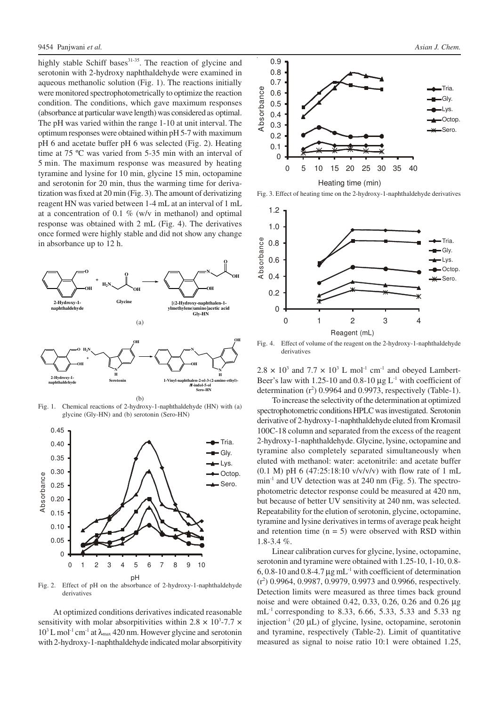highly stable Schiff bases<sup>31-35</sup>. The reaction of glycine and serotonin with 2-hydroxy naphthaldehyde were examined in aqueous methanolic solution (Fig. 1). The reactions initially were monitored spectrophotometrically to optimize the reaction condition. The conditions, which gave maximum responses (absorbance at particular wave length) was considered as optimal. The pH was varied within the range 1-10 at unit interval. The optimum responses were obtained within pH 5-7 with maximum pH 6 and acetate buffer pH 6 was selected (Fig. 2). Heating time at 75 ºC was varied from 5-35 min with an interval of 5 min. The maximum response was measured by heating tyramine and lysine for 10 min, glycine 15 min, octopamine and serotonin for 20 min, thus the warming time for derivatization was fixed at 20 min (Fig. 3). The amount of derivatizing reagent HN was varied between 1-4 mL at an interval of 1 mL at a concentration of 0.1  $\%$  (w/v in methanol) and optimal response was obtained with 2 mL (Fig. 4). The derivatives once formed were highly stable and did not show any change in absorbance up to 12 h.



Fig. 1. Chemical reactions of 2-hydroxy-1-naphthaldehyde (HN) with (a) glycine (Gly-HN) and (b) serotonin (Sero-HN)



Fig. 2. Effect of pH on the absorbance of 2-hydroxy-1-naphthaldehyde derivatives

At optimized conditions derivatives indicated reasonable sensitivity with molar absorpitivities within  $2.8 \times 10^3$ -7.7  $\times$  $10^3$  L mol<sup>-1</sup> cm<sup>-1</sup> at  $\lambda_{\text{max}}$  420 nm. However glycine and serotonin with 2-hydroxy-1-naphthaldehyde indicated molar absorpitivity



Fig. 3. Effect of heating time on the 2-hydroxy-1-naphthaldehyde derivatives



Fig. 4. Effect of volume of the reagent on the 2-hydroxy-1-naphthaldehyde derivatives

 $2.8 \times 10^3$  and  $7.7 \times 10^3$  L mol<sup>-1</sup> cm<sup>-1</sup> and obeyed Lambert-Beer's law with 1.25-10 and 0.8-10  $\mu$ g L<sup>-1</sup> with coefficient of determination  $(r^2)$  0.9964 and 0.9973, respectively (Table-1).

To increase the selectivity of the determination at optimized spectrophotometric conditions HPLC was investigated. Serotonin derivative of 2-hydroxy-1-naphthaldehyde eluted from Kromasil 100C-18 column and separated from the excess of the reagent 2-hydroxy-1-naphthaldehyde. Glycine, lysine, octopamine and tyramine also completely separated simultaneously when eluted with methanol: water: acetonitrile: and acetate buffer (0.1 M) pH 6 (47:25:18:10  $v/v/v/v$ ) with flow rate of 1 mL min<sup>-1</sup> and UV detection was at 240 nm (Fig. 5). The spectrophotometric detector response could be measured at 420 nm, but because of better UV sensitivity at 240 nm, was selected. Repeatability for the elution of serotonin, glycine, octopamine, tyramine and lysine derivatives in terms of average peak height and retention time  $(n = 5)$  were observed with RSD within 1.8-3.4 %.

Linear calibration curves for glycine, lysine, octopamine, serotonin and tyramine were obtained with 1.25-10, 1-10, 0.8- 6, 0.8-10 and 0.8-4.7  $\mu$ g mL<sup>-1</sup> with coefficient of determination  $(r^2)$  0.9964, 0.9987, 0.9979, 0.9973 and 0.9966, respectively. Detection limits were measured as three times back ground noise and were obtained 0.42, 0.33, 0.26, 0.26 and 0.26 µg mL<sup>-1</sup> corresponding to 8.33, 6.66, 5.33, 5.33 and 5.33 ng injection<sup>-1</sup> (20  $\mu$ L) of glycine, lysine, octopamine, serotonin and tyramine, respectively (Table-2). Limit of quantitative measured as signal to noise ratio 10:1 were obtained 1.25,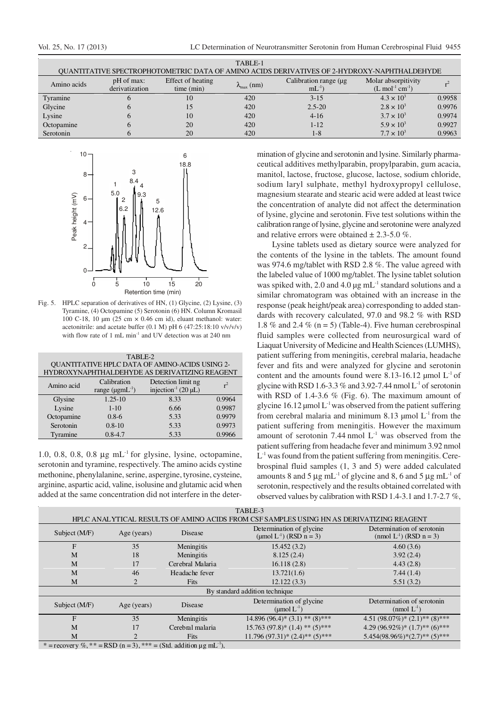| TABLE-1                                                                                     |                              |                                 |                       |                                     |                                                         |        |  |  |  |
|---------------------------------------------------------------------------------------------|------------------------------|---------------------------------|-----------------------|-------------------------------------|---------------------------------------------------------|--------|--|--|--|
| OUANTITATIVE SPECTROPHOTOMETRIC DATA OF AMINO ACIDS DERIVATIVES OF 2-HYDROXY-NAPHTHALDEHYDE |                              |                                 |                       |                                     |                                                         |        |  |  |  |
| Amino acids                                                                                 | pH of max:<br>derivatization | Effect of heating<br>time (min) | $\lambda_{\max}$ (nm) | Calibration range (µg)<br>$mL^{-1}$ | Molar absorpitivity<br>$(L \mod 2^{l} \text{ cm}^{-1})$ |        |  |  |  |
| Tyramine                                                                                    |                              | 10                              | 420                   | $3 - 15$                            | $4.3 \times 10^{3}$                                     | 0.9958 |  |  |  |
| Glycine                                                                                     |                              |                                 | 420                   | $2.5 - 20$                          | $2.8 \times 10^{3}$                                     | 0.9976 |  |  |  |
| Lysine                                                                                      |                              | 10                              | 420                   | $4-16$                              | $3.7 \times 10^{3}$                                     | 0.9974 |  |  |  |
| Octopamine                                                                                  |                              | 20                              | 420                   | $1 - 12$                            | $5.9 \times 10^{3}$                                     | 0.9927 |  |  |  |
| Serotonin                                                                                   |                              | 20                              | 420                   | $1 - 8$                             | $7.7 \times 10^{3}$                                     | 0.9963 |  |  |  |



Fig. 5. HPLC separation of derivatives of HN, (1) Glycine, (2) Lysine, (3) Tyramine, (4) Octopamine (5) Serotonin (6) HN. Column Kromasil 100 C-18, 10 µm (25 cm × 0.46 cm id), eluant methanol: water: acetonitrile: and acetate buffer  $(0.1 \text{ M})$  pH  $(47:25:18:10 \text{ v/v/v/v})$ with flow rate of 1 mL min<sup>-1</sup> and UV detection was at 240 nm

| TABLE-2                                        |                          |                                      |        |  |  |  |  |  |
|------------------------------------------------|--------------------------|--------------------------------------|--------|--|--|--|--|--|
| QUANTITATIVE HPLC DATA OF AMINO-ACIDS USING 2- |                          |                                      |        |  |  |  |  |  |
| HYDROXYNAPHTHALDEHYDE AS DERIVATIZING REAGENT  |                          |                                      |        |  |  |  |  |  |
| Amino acid                                     | Calibration              | Detection limit ng                   |        |  |  |  |  |  |
|                                                | range $(\mu g m L^{-1})$ | injection <sup>-1</sup> (20 $\mu$ L) |        |  |  |  |  |  |
| Glysine                                        | $1.25 - 10$              | 8.33                                 | 0.9964 |  |  |  |  |  |
| Lysine                                         | $1 - 10$                 | 6.66                                 | 0.9987 |  |  |  |  |  |
| Octopamine                                     | $0.8-6$                  | 5.33                                 | 0.9979 |  |  |  |  |  |
| Serotonin                                      | $0.8 - 10$               | 5.33                                 | 0.9973 |  |  |  |  |  |
| Tyramine                                       | $0.8 - 4.7$              | 5.33                                 | 0.9966 |  |  |  |  |  |

1.0, 0.8, 0.8, 0.8  $\mu$ g mL<sup>-1</sup> for glysine, lysine, octopamine, serotonin and tyramine, respectively. The amino acids cystine methonine, phenylalanine, serine, aspergine, tyrosine, cysteine, arginine, aspartic acid, valine, isolusine and glutamic acid when added at the same concentration did not interfere in the deter-

mination of glycine and serotonin and lysine. Similarly pharmaceutical additives methylparabin, propylparabin, gum acacia, manitol, lactose, fructose, glucose, lactose, sodium chloride, sodium laryl sulphate, methyl hydroxypropyl cellulose, magnesium stearate and stearic acid were added at least twice the concentration of analyte did not affect the determination of lysine, glycine and serotonin. Five test solutions within the calibration range of lysine, glycine and serotonine were analyzed and relative errors were obtained  $\pm 2.3$ -5.0 %.

Lysine tablets used as dietary source were analyzed for the contents of the lysine in the tablets. The amount found was 974.6 mg/tablet with RSD 2.8 %. The value agreed with the labeled value of 1000 mg/tablet. The lysine tablet solution was spiked with, 2.0 and 4.0 µg mL<sup>-1</sup> standard solutions and a similar chromatogram was obtained with an increase in the response (peak height/peak area) corresponding to added standards with recovery calculated, 97.0 and 98.2 % with RSD 1.8 % and 2.4 % ( $n = 5$ ) (Table-4). Five human cerebrospinal fluid samples were collected from neurosurgical ward of Liaquat University of Medicine and Health Sciences (LUMHS), patient suffering from meningitis, cerebral malaria, headache fever and fits and were analyzed for glycine and serotonin content and the amounts found were 8.13-16.12 µmol  $L^{-1}$  of glycine with RSD 1.6-3.3 % and 3.92-7.44 nmol  $L<sup>-1</sup>$  of serotonin with RSD of 1.4-3.6 % (Fig. 6). The maximum amount of glycine 16.12  $\mu$ mol L<sup>-1</sup> was observed from the patient suffering from cerebral malaria and minimum 8.13  $\mu$ mol L<sup>-1</sup> from the patient suffering from meningitis. However the maximum amount of serotonin 7.44 nmol  $L^{-1}$  was observed from the patient suffering from headache fever and minimum 3.92 nmol L<sup>-1</sup> was found from the patient suffering from meningitis. Cerebrospinal fluid samples (1, 3 and 5) were added calculated amounts 8 and 5  $\mu$ g mL<sup>-1</sup> of glycine and 8, 6 and 5  $\mu$ g mL<sup>-1</sup> of serotonin, respectively and the results obtained correlated with observed values by calibration with RSD 1.4-3.1 and 1.7-2.7 %,

| TABLE-3                                                                                              |             |                  |                                                                    |                                                                      |  |  |  |
|------------------------------------------------------------------------------------------------------|-------------|------------------|--------------------------------------------------------------------|----------------------------------------------------------------------|--|--|--|
| HPLC ANALYTICAL RESULTS OF AMINO ACIDS FROM CSF SAMPLES USING HN AS DERIVATIZING REAGENT             |             |                  |                                                                    |                                                                      |  |  |  |
| Subject (M/F)                                                                                        | Age (years) | Disease          | Determination of glycine<br>(umol L <sup>-1</sup> ) (RSD $n = 3$ ) | Determination of serotonin<br>(nmol L <sup>-1</sup> ) (RSD $n = 3$ ) |  |  |  |
| F                                                                                                    | 35          | Meningitis       | 15.452(3.2)                                                        | 4.60(3.6)                                                            |  |  |  |
| M                                                                                                    | 18          | Meningitis       | 8.125(2.4)                                                         | 3.92(2.4)                                                            |  |  |  |
| M                                                                                                    | 17          | Cerebral Malaria | 16.118(2.8)                                                        | 4.43(2.8)                                                            |  |  |  |
| M                                                                                                    | 46          | Headache fever   | 13.721(1.6)                                                        | 7.44(1.4)                                                            |  |  |  |
| M                                                                                                    |             | <b>Fits</b>      | 12.122(3.3)                                                        | 5.51(3.2)                                                            |  |  |  |
| By standard addition technique                                                                       |             |                  |                                                                    |                                                                      |  |  |  |
| Subject (M/F)                                                                                        | Age (years) | Disease          | Determination of glycine<br>$(\text{µmol L}^{-1})$                 | Determination of serotonin<br>$(nmol L-1)$                           |  |  |  |
| F                                                                                                    | 35          | Meningitis       | $14.896(96.4)*(3.1) ** (8)***$                                     | 4.51 $(98.07\%)$ * $(2.1)$ ** $(8)$ ***                              |  |  |  |
| M                                                                                                    | 17          | Cerebral malaria | $15.763(97.8)*(1.4)**(5)***$                                       | 4.29 $(96.92\%)$ * $(1.7)$ ** $(6)$ ***                              |  |  |  |
| M                                                                                                    |             | <b>Fits</b>      | $11.796(97.31)*(2.4)**(5)***$                                      | $5.454(98.96\%)*(2.7)**(5)***$                                       |  |  |  |
| * $\pm$ negatively $\emptyset$ , ** $\pm$ DCD $(n-2)$ , *** $\pm$ C+d addition us mI <sup>-1</sup> ) |             |                  |                                                                    |                                                                      |  |  |  |

\* = recovery %, \* \* = RSD (n = 3), \* \* \* = (Std. addition  $\mu$ g mL<sup>-1</sup> ),